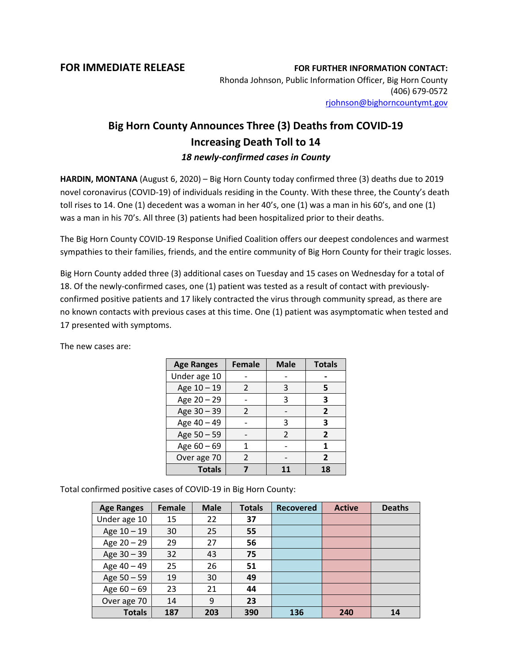**FOR IMMEDIATE RELEASE FOR FURTHER INFORMATION CONTACT:** Rhonda Johnson, Public Information Officer, Big Horn County (406) 679-0572 [rjohnson@bighorncountymt.gov](mailto:rjohnson@bighorncountymt.gov)

## **Big Horn County Announces Three (3) Deaths from COVID-19 Increasing Death Toll to 14** *18 newly-confirmed cases in County*

**HARDIN, MONTANA** (August 6, 2020) – Big Horn County today confirmed three (3) deaths due to 2019 novel coronavirus (COVID-19) of individuals residing in the County. With these three, the County's death toll rises to 14. One (1) decedent was a woman in her 40's, one (1) was a man in his 60's, and one (1) was a man in his 70's. All three (3) patients had been hospitalized prior to their deaths.

The Big Horn County COVID-19 Response Unified Coalition offers our deepest condolences and warmest sympathies to their families, friends, and the entire community of Big Horn County for their tragic losses.

Big Horn County added three (3) additional cases on Tuesday and 15 cases on Wednesday for a total of 18. Of the newly-confirmed cases, one (1) patient was tested as a result of contact with previouslyconfirmed positive patients and 17 likely contracted the virus through community spread, as there are no known contacts with previous cases at this time. One (1) patient was asymptomatic when tested and 17 presented with symptoms.

| <b>Age Ranges</b> | <b>Female</b>  | <b>Male</b>   | <b>Totals</b>  |  |
|-------------------|----------------|---------------|----------------|--|
| Under age 10      |                |               |                |  |
| Age 10 - 19       | $\mathcal{P}$  | 3             | 5              |  |
| Age 20 - 29       |                | 3             | 3              |  |
| Age 30 - 39       | $\mathcal{P}$  |               | $\overline{2}$ |  |
| Age 40 - 49       |                | 3             | 3              |  |
| Age 50 - 59       |                | $\mathcal{P}$ | $\overline{2}$ |  |
| Age 60 - 69       | 1              |               | 1              |  |
| Over age 70       | $\mathfrak{D}$ |               | $\overline{2}$ |  |
| <b>Totals</b>     |                |               | 18             |  |

The new cases are:

Total confirmed positive cases of COVID-19 in Big Horn County:

| <b>Age Ranges</b> | <b>Female</b> | <b>Male</b> | <b>Totals</b> | <b>Recovered</b> | <b>Active</b> | <b>Deaths</b> |
|-------------------|---------------|-------------|---------------|------------------|---------------|---------------|
| Under age 10      | 15            | 22          | 37            |                  |               |               |
| Age 10 - 19       | 30            | 25          | 55            |                  |               |               |
| Age 20 - 29       | 29            | 27          | 56            |                  |               |               |
| Age 30 - 39       | 32            | 43          | 75            |                  |               |               |
| Age 40 - 49       | 25            | 26          | 51            |                  |               |               |
| Age 50 - 59       | 19            | 30          | 49            |                  |               |               |
| Age $60 - 69$     | 23            | 21          | 44            |                  |               |               |
| Over age 70       | 14            | 9           | 23            |                  |               |               |
| <b>Totals</b>     | 187           | 203         | 390           | 136              | 240           | 14            |